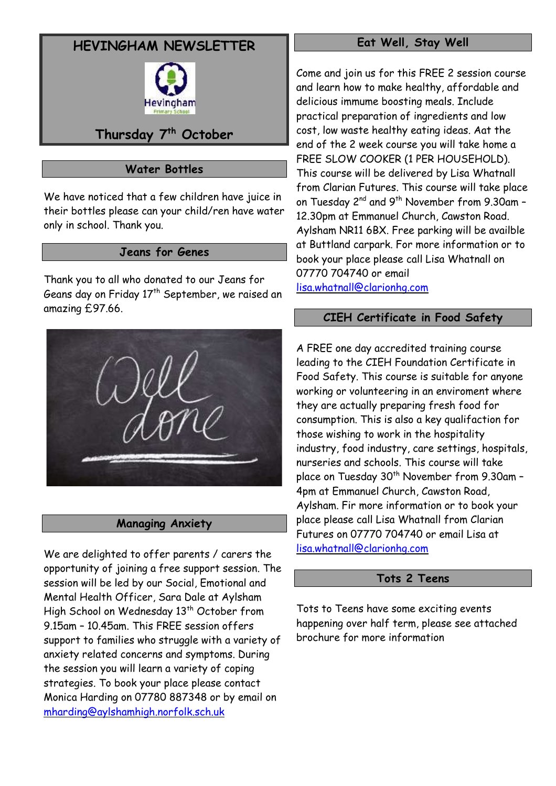# **HEVINGHAM NEWSLETTER**



# **Thursday 7 th October**

# **Water Bottles**

We have noticed that a few children have juice in their bottles please can your child/ren have water only in school. Thank you.

# **Jeans for Genes**

Thank you to all who donated to our Jeans for Geans day on Friday 17<sup>th</sup> September, we raised an amazing £97.66.



# **Managing Anxiety**

We are delighted to offer parents / carers the opportunity of joining a free support session. The session will be led by our Social, Emotional and Mental Health Officer, Sara Dale at Aylsham High School on Wednesday 13<sup>th</sup> October from 9.15am – 10.45am. This FREE session offers support to families who struggle with a variety of anxiety related concerns and symptoms. During the session you will learn a variety of coping strategies. To book your place please contact Monica Harding on 07780 887348 or by email on [mharding@aylshamhigh.norfolk.sch.uk](mailto:mharding@aylshamhigh.norfolk.sch.uk)

### **Eat Well, Stay Well**

Come and join us for this FREE 2 session course and learn how to make healthy, affordable and delicious immume boosting meals. Include practical preparation of ingredients and low cost, low waste healthy eating ideas. Aat the end of the 2 week course you will take home a FREE SLOW COOKER (1 PER HOUSEHOLD). This course will be delivered by Lisa Whatnall from Clarian Futures. This course will take place on Tuesday 2<sup>nd</sup> and 9<sup>th</sup> November from 9.30am -12.30pm at Emmanuel Church, Cawston Road. Aylsham NR11 6BX. Free parking will be availble at Buttland carpark. For more information or to book your place please call Lisa Whatnall on 07770 704740 or email

[lisa.whatnall@clarionhg.com](mailto:lisa.whatnall@clarionhg.com)

# **CIEH Certificate in Food Safety**

A FREE one day accredited training course leading to the CIEH Foundation Certificate in Food Safety. This course is suitable for anyone working or volunteering in an enviroment where they are actually preparing fresh food for consumption. This is also a key qualifaction for those wishing to work in the hospitality industry, food industry, care settings, hospitals, nurseries and schools. This course will take place on Tuesday 30<sup>th</sup> November from 9.30am -4pm at Emmanuel Church, Cawston Road, Aylsham. Fir more information or to book your place please call Lisa Whatnall from Clarian Futures on 07770 704740 or email Lisa at [lisa.whatnall@clarionhg.com](mailto:lisa.whatnall@clarionhg.com)

# **Tots 2 Teens**

Tots to Teens have some exciting events happening over half term, please see attached brochure for more information